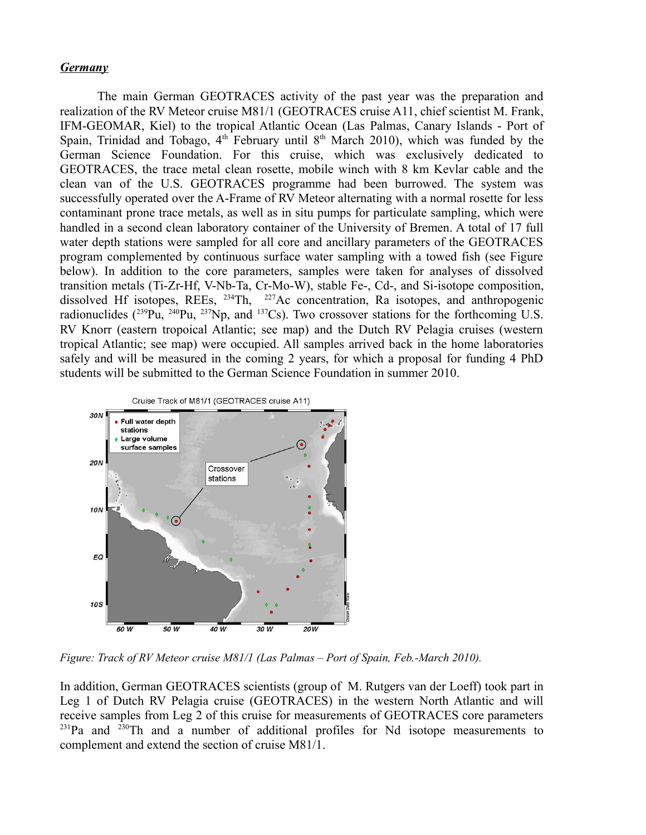## *Germany*

The main German GEOTRACES activity of the past year was the preparation and realization of the RV Meteor cruise M81/1 (GEOTRACES cruise A11, chief scientist M. Frank, IFM-GEOMAR, Kiel) to the tropical Atlantic Ocean (Las Palmas, Canary Islands - Port of Spain, Trinidad and Tobago,  $4<sup>th</sup>$  February until  $8<sup>th</sup>$  March 2010), which was funded by the German Science Foundation. For this cruise, which was exclusively dedicated to GEOTRACES, the trace metal clean rosette, mobile winch with 8 km Kevlar cable and the clean van of the U.S. GEOTRACES programme had been burrowed. The system was successfully operated over the A-Frame of RV Meteor alternating with a normal rosette for less contaminant prone trace metals, as well as in situ pumps for particulate sampling, which were handled in a second clean laboratory container of the University of Bremen. A total of 17 full water depth stations were sampled for all core and ancillary parameters of the GEOTRACES program complemented by continuous surface water sampling with a towed fish (see Figure below). In addition to the core parameters, samples were taken for analyses of dissolved transition metals (Ti-Zr-Hf, V-Nb-Ta, Cr-Mo-W), stable Fe-, Cd-, and Si-isotope composition, dissolved Hf isotopes, REEs, <sup>234</sup>Th, <sup>227</sup>Ac concentration, Ra isotopes, and anthropogenic radionuclides  $(^{239}Pu$ ,  $^{240}Pu$ ,  $^{237}Np$ , and  $^{137}Cs$ ). Two crossover stations for the forthcoming U.S. RV Knorr (eastern tropoical Atlantic; see map) and the Dutch RV Pelagia cruises (western tropical Atlantic; see map) were occupied. All samples arrived back in the home laboratories safely and will be measured in the coming 2 years, for which a proposal for funding 4 PhD students will be submitted to the German Science Foundation in summer 2010.



*Figure: Track of RV Meteor cruise M81/1 (Las Palmas – Port of Spain, Feb.-March 2010).* 

In addition, German GEOTRACES scientists (group of M. Rutgers van der Loeff) took part in Leg 1 of Dutch RV Pelagia cruise (GEOTRACES) in the western North Atlantic and will receive samples from Leg 2 of this cruise for measurements of GEOTRACES core parameters  $^{231}$ Pa and  $^{230}$ Th and a number of additional profiles for Nd isotope measurements to complement and extend the section of cruise M81/1.